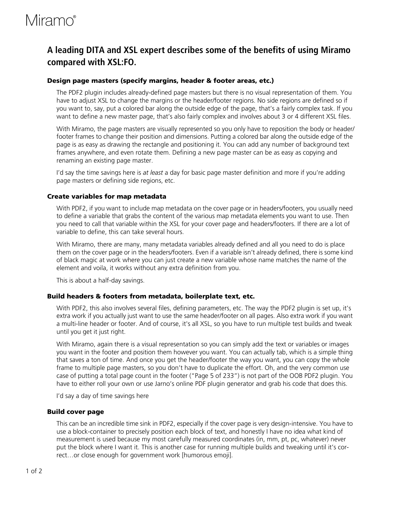# Miramo®

### **A leading DITA and XSL expert describes some of the benefits of using Miramo compared with XSL:FO.**

### **Design page masters (specify margins, header & footer areas, etc.)**

The PDF2 plugin includes already-defined page masters but there is no visual representation of them. You have to adjust XSL to change the margins or the header/footer regions. No side regions are defined so if you want to, say, put a colored bar along the outside edge of the page, that's a fairly complex task. If you want to define a new master page, that's also fairly complex and involves about 3 or 4 different XSL files.

With Miramo, the page masters are visually represented so you only have to reposition the body or header/ footer frames to change their position and dimensions. Putting a colored bar along the outside edge of the page is as easy as drawing the rectangle and positioning it. You can add any number of background text frames anywhere, and even rotate them. Defining a new page master can be as easy as copying and renaming an existing page master.

I'd say the time savings here is *at least* a day for basic page master definition and more if you're adding page masters or defining side regions, etc.

#### **Create variables for map metadata**

With PDF2, if you want to include map metadata on the cover page or in headers/footers, you usually need to define a variable that grabs the content of the various map metadata elements you want to use. Then you need to call that variable within the XSL for your cover page and headers/footers. If there are a lot of variable to define, this can take several hours.

With Miramo, there are many, many metadata variables already defined and all you need to do is place them on the cover page or in the headers/footers. Even if a variable isn't already defined, there is some kind of black magic at work where you can just create a new variable whose name matches the name of the element and voila, it works without any extra definition from you.

This is about a half-day savings.

#### **Build headers & footers from metadata, boilerplate text, etc.**

With PDF2, this also involves several files, defining parameters, etc. The way the PDF2 plugin is set up, it's extra work if you actually just want to use the same header/footer on all pages. Also extra work if you want a multi-line header or footer. And of course, it's all XSL, so you have to run multiple test builds and tweak until you get it just right.

With Miramo, again there is a visual representation so you can simply add the text or variables or images you want in the footer and position them however you want. You can actually tab, which is a simple thing that saves a ton of time. And once you get the header/footer the way you want, you can copy the whole frame to multiple page masters, so you don't have to duplicate the effort. Oh, and the very common use case of putting a total page count in the footer ("Page 5 of 233") is not part of the OOB PDF2 plugin. You have to either roll your own or use Jarno's online PDF plugin generator and grab his code that does this.

I'd say a day of time savings here

#### **Build cover page**

This can be an incredible time sink in PDF2, especially if the cover page is very design-intensive. You have to use a block-container to precisely position each block of text, and honestly I have no idea what kind of measurement is used because my most carefully measured coordinates (in, mm, pt, pc, whatever) never put the block where I want it. This is another case for running multiple builds and tweaking until it's correct…or close enough for government work [humorous emoji].